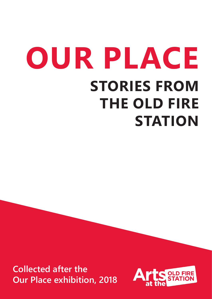# **OUR PLACE STORIES FROM THE OLD FIRE STATION**

**Collected after the Our Place exhibition, 2018**

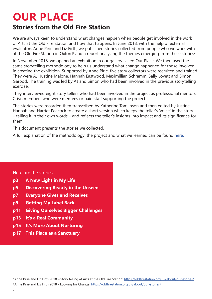#### **OUR PLACE Stories from the Old Fire Station**

We are always keen to understand what changes happen when people get involved in the work of Arts at the Old Fire Station and how that happens. In June 2018, with the help of external evaluators Anne Pirie and Liz Firth, we published stories collected from people who we work with at the Old Fire Station in Oxford<sup>1</sup> and a report analyzing the themes emerging from these stories<sup>2</sup>.

In November 2018, we opened an exhibition in our gallery called Our Place. We then used the same storytelling methodology to help us understand what change happened for those involved in creating the exhibition. Supported by Anne Pirie, five story collectors were recruited and trained. They were AJ, Justine Malone, Hannah Eastwood, Maximillian Schramm, Sally Lovett and Simon Garood. The training was led by AJ and Simon who had been involved in the previous storytelling exercise.

They interviewed eight story tellers who had been involved in the project as professional mentors, Crisis members who were mentees or paid staff supporting the project.

The stories were recorded then transcribed by Katherine Tomlinson and then edited by Justine, Hannah and Harriet Peacock to create a short version which keeps the teller's 'voice' in the story – telling it in their own words – and reflects the teller's insights into impact and its significance for them.

This document presents the stories we collected.

A full explanation of the methodology, the project and what we learned can be found here.

#### Here are the stories:

- **p3 A New Light in My Life**
- **p5 Discovering Beauty in the Unseen**
- **p7 Everyone Gives and Receives**
- **p9 Getting My Label Back**
- **p11 Giving Ourselves Bigger Challenges**
- **p13 It's a Real Community**
- **p15 It's More About Nurturing**
- **p17 This Place as a Sanctuary**

1 Anne Pirie and Liz Firth 2018 – Story telling at Arts at the Old Fire Station: https://oldfirestation.org.uk/about/our-stories/ <sup>2</sup> Anne Pirie and Liz Firth 2018 - Looking for Change: https://oldfirestation.org.uk/about/our-stories/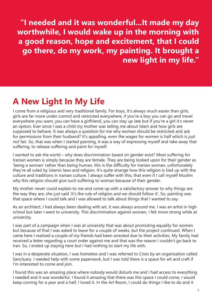**"I needed and it was wonderful...It made my day worthwhile, I would wake up in the morning with a good reason, hope and excitement, that I could go there, do my work, my painting. It brought a new light in my life."**

#### **A New Light In My Life**

I come from a religious and very traditional family. For boys, it's always much easier than girls, girls are far more under control and restricted everywhere, if you're a boy you can go and travel everywhere you want, you can have a girlfriend, you can stay up late but if you're a girl it's never an option. Ever since I was a child my mother was telling me about Islam and how girls are supposed to behave. It was always a question for me why woman should be restricted and ask for permissions from their husband? It's appalling, even the wages for women is half which is just not fair. So, that was when I started painting, it was a way of expressing myself and take away that suffering, to release suffering and paint for myself.

I wanted to ask the world – why does discrimination based on gender exist? Most suffering for Iranian women is simply because they are female. They are being looked upon for their gender as 'being a woman' rather than being human, this is the difficulty for Iranian woman, unfortunately they're all ruled by Islamic laws and religion. It's quite strange how this religion is tied up with the culture and traditions in Iranian culture. I always suffer with this, that even if I call myself Muslim why this religion should give such suffering to woman because of their gender.

My mother never could explain to me and come up with a satisfactory answer to why things are the way they are, she just said 'it's the rule of religion and we should follow it'. So, painting was that space where I could talk and I was allowed to talk about things that I wanted to say.

As an architect, I had always been dealing with art, it was always around me. I was an artist in high school but later I went to university. This discrimination against women, I felt more strong while at university.

I was part of a campaign when I was at university that was about promoting equality for women but because of that I was asked to leave for a couple of weeks, but the project continued. When I came here I realised a couple of my friends had been arrested due to their activities. My family had received a letter regarding a court order against me and that was the reason I couldn't go back to Iran. So, I ended up staying here but I had nothing to start my life with.

I was in a desperate situation, I was homeless and I was referred to Crisis by an organisation called Sanctuary. I needed help with some paperwork, but I was told there is a space for art and craft if I'm interested to come and join.

I found this was an amazing place where nobody would disturb me and I had access to everything I needed and it was wonderful. I found it amazing that there was this space I could come, I would keep coming for a year and a half, I loved it. In the Art Room, I could do things I like to do and it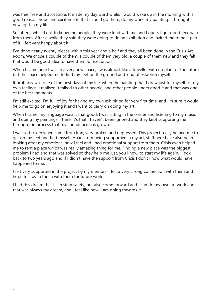was free, free and accessible. It made my day worthwhile, I would wake up in the morning with a good reason, hope and excitement, that I could go there, do my work, my painting. It brought a new light in my life.

So, after a while I got to know the people, they were kind with me and I guess I got good feedback from them. After a while they said they were going to do an exhibition and invited me to be a part of it. I felt very happy about it.

I've done nearly twenty pieces within this year and a half and they all been done in the Crisis Art Room. We chose a couple of them, a couple of them very old, a couple of them new and they felt that would be good idea to have them for exhibition.

When I came here I was in a very new space, I was almost like a traveller with no plan for the future but the space helped me to find my feet on the ground and kind of establish myself.

It probably was one of the best days of my life, when the painting that I drew just for myself for my own feelings, I realised it talked to other people, and other people understood it and that was one of the best moments.

I'm still excited, I'm full of joy for having my own exhibition for very first time, and I'm sure it would help me to go on enjoying it and I want to carry on doing my art.

When I came, my language wasn't that good. I was sitting in the corner and listening to my music and doing my paintings. I think it's that I haven't been ignored and they kept supporting me through the process that my confidence has grown.

I was so broken when came from Iran, very broken and depressed. This project really helped me to get on my feet and find myself. Apart from being supportive in my art, staff here have also been looking after my emotions, how I feel and I had emotional support from them. Crisis even helped me to rent a place which was really amazing thing for me. Finding a new place was the biggest problem I had and that was solved so they help me just, you know, to start my life again. I look back to two years ago and if I didn't have the support from Crisis I don't know what would have happened to me.

I felt very supported in the project by my mentors. I felt a very strong connection with them and I hope to stay in touch with them for future work.

I had this dream that I can sit in safety, but also come forward and I can do my own art work and that was always my dream, and I feel like now, I am going towards it.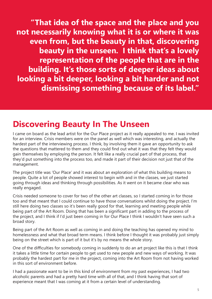**"That idea of the space and the place and you not necessarily knowing what it is or where it was even from, but the beauty in that, discovering beauty in the unseen. I think that's a lovely representation of the people that are in the building. It's those sorts of deeper ideas about looking a bit deeper, looking a bit harder and not dismissing something because of its label."**

#### **Discovering Beauty In The Unseen**

I came on board as the lead artist for the Our Place project as it really appealed to me. I was invited for an interview. Crisis members were on the panel as well which was interesting, and actually the hardest part of the interviewing process. I think, by involving them it gave an opportunity to ask the questions that mattered to them and they could find out what it was that they felt they would gain themselves by employing the person. It felt like a really crucial part of that process, that they'd put something into the process too, and made it part of their decision not just that of the management.

The project title was 'Our Place' and it was about an exploration of what this building means to people. Quite a lot of people showed interest to begin with and in the classes, we just started going through ideas and thinking through possibilities. As it went on it became clear who was really engaged.

Crisis needed someone to cover for two of the other art classes, so I started coming in for those too and that meant that I could continue to have those conversations whilst doing the project. I'm still here doing two classes so it's been really good for that, learning and meeting people while being part of the Art Room. Doing that has been a significant part in adding to the process of the project, and I think if I'd just been coming in for Our Place I think I wouldn't have seen such a broad story.

Being part of the Art Room as well as coming in and doing the teaching has opened my mind to homelessness and what that broad term means. I think before I thought it was probably just simply being on the street which is part of it but it's by no means the whole story.

One of the difficulties for somebody coming in suddenly to do an art project like this is that I think it takes a little time for certain people to get used to new people and new ways of working. It was probably the hardest part for me in the project, coming into the Art Room from not having worked in this sort of environment before.

I had a passionate want to be in this kind of environment from my past experiences, I had two alcoholic parents and had a pretty hard time with all of that, and I think having that sort of experience meant that I was coming at it from a certain level of understanding.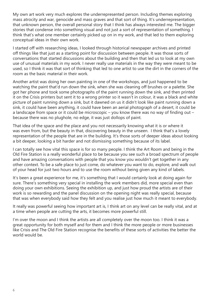My own art work very much explores the underrepresented person. Including themes exploring mass atrocity and war, genocide and mass graves and that sort of thing. It's underrepresentation, that unknown person, the overall personal story that I think has always interested me. The bigger stories that condense into something visual and not just a sort of representation of something. I think that's what one member certainly picked up on in my work, and that led to them exploring conceptual ideas in their own work.

I started off with researching ideas, I looked through historical newspaper archives and printed off things like that just as a starting point for discussion between people. It was those sorts of conversations that started discussions about the building and then that led us to look at my own use of unusual materials in my work. I never really use materials in the way they were meant to be used, so I think it was that sort of thinking that led to one artist to use the dirt in the corners of the room as the basic material in their work.

Another artist was doing her own painting in one of the workshops, and just happened to be watching the paint that'd run down the sink, when she was cleaning off brushes or a palette. She got her phone and took some photographs of the paint running down the sink, and then printed it on the Crisis printers but sent it to a wrong printer so it wasn't in colour, it was a black and white picture of paint running down a sink, but it dawned on us it didn't look like paint running down a sink, it could have been anything, it could have been an aerial photograph of a desert, it could be a landscape from space or it could be microscopic – you know there was no way of finding out – because there was no plughole, no edge, it was just dollops of paint.

That idea of the space and the place and you not necessarily knowing what it is or where it was even from, but the beauty in that, discovering beauty in the unseen. I think that's a lovely representation of the people that are in the building. It's those sorts of deeper ideas about looking a bit deeper, looking a bit harder and not dismissing something because of its label.

I can totally see how vital this space is for so many people. I think the Art Room and being in the Old Fire Station is a really wonderful place to be because you see such a broad spectrum of people and have amazing conversations with people that you know you wouldn't get together in any other context. To be a safe place to just come, do whatever you want to do, explore, and walk out of your head for just two hours and to use the room without being given any kind of labels.

It's been a great experience for me, it's something that I would certainly look at doing again for sure. There's something very special in installing the work members did, more special even than doing your own exhibitions. Seeing the exhibition up, and just how proud the artists are of their work is so rewarding and the panel discussion on the opening night was really special, because that was when everybody said how they felt and you realise just how much it meant to everybody.

It really was powerful seeing how important art is, I think art on any level can be really vital, and at a time when people are cutting the arts, it becomes more powerful still.

I'm over the moon and I think the artists are all completely over the moon too. I think it was a great opportunity for both myself and for them and I think the more people or more businesses like Crisis and The Old Fire Station recognise the benefits of these sorts of activities the better the world would be.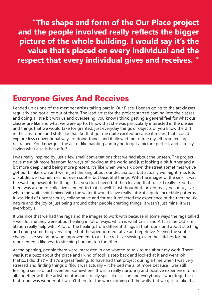**"The shape and form of the Our Place project and the people involved really reflects the bigger picture of the whole building. I would say it's the value that's placed on every individual and the respect that every individual gives and receives. "**

#### **Everyone Gives And Receives**

I ended up as one of the member artists taking part in Our Place. I began going to the art classes regularly and got a lot out of them. The lead artist for the project started coming into the classes and doing a little bit with us and overseeing, you know I think, getting a general feel for what our classes are like and what we were up to. I know that she was particularly interested in the unseen and things that we would take for granted, just everyday things or objects or you know the dirt in the classroom and stuff like that. So that got me quite excited because it meant that I could explore less conventional ways of doing things and it allowed me to free myself from feeling restrained. You know, just the act of like painting and trying to get a picture perfect, and actually saying what else is beautiful?

I was really inspired by just a few small conversations that we had about the unseen. The project gave me a bit more freedom for ways of looking at the world and just looking a bit further and a bit more deeply and being more present. It's like when we walk down the street sometimes we've got our blinkers on and we're just thinking about our destination, but actually we might miss lots of subtle, well sometimes not even subtle, but beautiful things. With the images of the sink, it was the washing away of the things that you don't need but then leaving that trace. I really liked that there was a kind of collective element to that as well. I just thought it looked really beautiful, like when the white spirit mixed with the water it would leave really intricate, quite incredible patterns. It was kind of unconsciously collaborative and for me it reflected my experience of the therapeutic nature and the joy of just being around other people creating things. It wasn't just mine, it was everybody's.

It was nice that we had the rags and the images to work with because in some ways the rags talked – well for me they were about healing in lot of ways, which is what Crisis and Arts at the Old Fire Station really help with. A lot of the healing, from different things in that room, and about stitching and doing something very simple but therapeutic, meditative and repetitive. Seeing the subtle changes like seeing how an improvement to a little craft like sewing, even the stitches for me represented a likeness to stitching human skin together.

At the opening, people there were interested in and wanted to talk to me about my work. There was just a buzz about the place and I kind of took a step back and looked at it and went 'oh that's... I did that' – that's a great feeling. To have had that project during a time when I was very stressed and finding things difficult was actually – it helped me a lot more because I was still feeling a sense of achievement somewhere. It was a really nurturing and positive experience for us all, together with the artist mentors on a really special occasion and everybody's work together in that room was wonderful. I wasn't there for the work coming off the walls, but we get to take that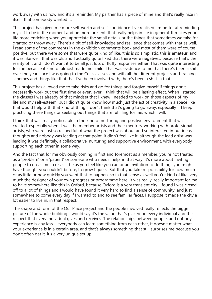work away with us now and it's a reminder. My partner has a piece of mine and that's really nice in itself, that somebody wanted it.

This project has given me more self-worth and self-confidence. I've realised I'm better at reminding myself to be in the moment and be more present, that really helps in life in general. It makes your life more enriching when you appreciate the small details or the things that sometimes we take for granted or throw away. There's a bit of self-knowledge and resilience that comes with that as well. I read some of the comments in the exhibition comments book and most of them were of course positive, but there were some that were quite kind of like, 'this is so simplistic, this is amateur' and it was like well, that was ok, and I actually quite liked that there were negatives, because that's the reality of it and I don't want it to be all just lots of fluffy responses either. That was quite interesting for me because it kind of almost made me smile! That was evidence to me that there's been a shift over the year since I was going to the Crisis classes and with all the different projects and training schemes and things like that that I've been involved with, there's been a shift in that.

This project has allowed me to take risks and go for things and forgive myself if things don't necessarily work out the first time or even, ever. I think that will be a lasting effect. When I started the classes I was already of that mindset that I knew I needed to work on those aspects of my life and my self-esteem, but I didn't quite know how much just the act of creativity in a space like that would help with that kind of thing. I don't think that's going to go away, especially if I keep practicing these things or seeking out things that are fulfilling for me, which I will.

I think that was really noticeable in the kind of nurturing and positive environment that was created, especially when it was the member artists and their mentors, working with professional artists, who were just so respectful of what the project was about and so interested in our ideas, thoughts and nobody was leading at that point, it didn't feel like it, although the lead artist was leading it was definitely, a collaborative, nurturing and supportive environment, with everybody supporting each other in some way.

And the fact that for me obviously coming in first and foremost as a member, you're not treated as a 'problem' or a 'patient' or someone who needs 'help' in that way, it's more about inviting people to do as much or as little as you feel like you can or an invitation to do things you might have thought you couldn't before, to grow I guess. But that you take responsibility for how much or as little or how quickly you want that to happen, so in that sense as well you're kind of like, very much the designer of your own progress or programme here. It was really, really important for me to have somewhere like this in Oxford, because Oxford is a very transient city. I found I was closed off to a lot of things and I would have found it very hard to find a sense of community, and just somewhere to come every day if I wanted to and to see familiar faces. I suppose it made the city a lot easier to live in, in that respect.

The shape and form of the Our Place project and the people involved really reflects the bigger picture of the whole building. I would say it's the value that's placed on every individual and the respect that every individual gives and receives. The relationships between people, and nobody's experience is any less – everybody can learn something from each other, it doesn't matter what your experience is in a certain area, and that's always something that still surprises me because you don't often get it, it's a very unique set up.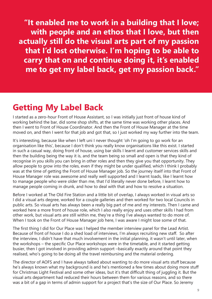**"It enabled me to work in a building that I love; with people and an ethos that I love, but then actually still do the visual arts part of my passion that I'd lost otherwise. I'm hoping to be able to carry that on and continue doing it, it's enabled me to get my label back, get my passion back."**

#### **Getting My Label Back**

I started as a zero-hour Front of House Assistant, so I was initially just front of house kind of working behind the bar, did some shop shifts, at the same time was working other places. And then I went to Front of House Coordinator. And then the Front of House Manager at the time moved on, and then I went for that job and got that, so I just worked my way further into the team.

It's interesting, because like when I left uni I never thought 'oh I'm going to go work for an organisation like this', because I don't think you really know organisations like this exist. I started in such a casual way, doing front of house, using bar skills I learnt and customer services skills and then the building being the way it is, and the team being so small and open is that they kind of recognise in you skills you can bring in other roles and then they give you that opportunity. They allow people to grow into the roles, even if they might be under qualified, which I think I probably was at the time of getting the Front of House Manager job. So the journey itself into that Front of House Manager role was awesome and really well supported and I learnt loads, like I learnt how to manage people who were older than me, that I'd literally never done before, I learnt how to manage people coming in drunk, and how to deal with that and how to resolve a situation.

Before I worked at The Old Fire Station and a little bit of overlap, I always worked in visual arts so I did a visual arts degree, worked for a couple galleries and then worked for two local Councils in public arts. So visual arts has always been a really big part of me and my interests. Then I came and worked here a more front of house role, which I also really enjoy and uses other skills I had from other work, but visual arts are still within me, they're a thing I've always wanted to do more of. When I took on the Front of House Manager job here, I was aware I might lose some of that.

The first thing I did for Our Place was I helped the member interview panel for the Lead Artist. Because of front of house I do a shed load of interviews, I'm always recruiting new staff. So after the interview, I didn't have that much involvement in the initial planning, it wasn't until later, when the workshops – the specific Our Place workshops were in the timetable, and it started getting busier, then I got involved in providing admin support –basically exactly around that point they realised, who's going to be doing all the travel reimbursing and the material ordering.

The director of AOFS and I have always talked about wanting to do more visual arts stuff because he's always known what my background is and he's mentioned a few times about doing more stuff for Christmas Light Festival and some other ideas, but it's that difficult thing of juggling it. But the visual arts department had reduced their hours between them for various reasons, and so there was a bit of a gap in terms of admin support for a project that's the size of Our Place. So Jeremy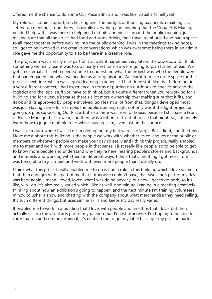offered me the chance to do some Our Place admin and I was like 'visual arts hell yeah!'

My role was admin support, so checking over the budget, authorising payments, email logistics, setting up meetings, room hires – basically everything and anything that the Visual Arts Manager needed help with, I was there to help her. I did bits and pieces around the public opening, just making sure that all the artists had food and some drinks, their travel reimbursed and had a space to all meet together before walking into the public opening. I was in the meetings taking notes, so I got to be involved in the creative conversations, which was awesome; being there in an admin role gave me the opportunity to also be there in a creative role.

The projection was a really nice part of it as well, it happened very late in the process, and I think something we really learnt was to do it early next time, so we're going to plan further ahead. We got an external artist who needed time to understand what the project was, who the people were that had engaged and what we needed as an organisation. We learnt to make more space for that process next time, which was a good learning experience. I had done stuff like that before but in a very different context, I had experience in terms of putting on outdoor site-specific art and the logistics and the legal stuff you have to think of, but it's quite different when you're working for a building and for a venue because there's a lot more ownership over making sure that it fits, and its ok and its approved by people involved. So I learnt a lot from that, things I developed most was just staying calm– for example, the public opening night not only was it the light projection going up, plus supporting Our Place, but also there was front of house, because I still have a Front of House Manager hat to wear, and there was a lot on for front of house that night. So, I definitely learnt how to juggle multiple roles whilst staying calm, even just on the surface.

I was like a duck where I was like 'I'm gliding' but my feet were like 'argh'. But I did it, and the thing I love most about this building is the people we work with, whether its colleagues or the public or members or whatever, people can make your day so easily and I think this project, really enabled me to meet and work with more people in that sense. I just really like people, so to be able to get to know more people and understand why they're here, hearing people's stories and backgrounds and interests and working with them in different ways, I think that's the thing I got most from it, was being able to just meet and work with even more people than I usually do.

I think what this project really enabled me to do is find a role in this building which I love so much, that then engages with a part of me that I otherwise couldn't have, that visual arts part of my day was back again. I mean I loved, loved what I was doing anyway, but now I get to do both, so it's like, win-win. It's also really varied which I like as well, one minute I can be in a meeting creatively thinking about how an exhibition's going to happen, and the next minute I'm training volunteers in how to usher a show and chatting with the company about what merchandise they need selling. It's such different things, but uses similar skills and keeps my day really varied.

It enabled me to work in a building that I love; with people and an ethos that I love, but then actually still do the visual arts part of my passion that I'd lost otherwise. I'm hoping to be able to carry that on and continue doing it, it's enabled me to get my label back, get my passion back.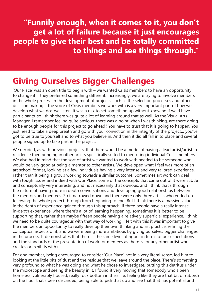**"Funnily enough, when it comes to it, you don't get a lot of failure because it just encourages people to give their best and be totally committed to things and see things through."**

#### **Giving Ourselves Bigger Challenges**

'Our Place' was an open title to begin with – we wanted Crisis members to have an opportunity to change it if they preferred something different. Increasingly, we are trying to involve members in the whole process in the development of projects, such as the selection processes and other decision making – the voice of Crisis members we work with is a very important part of how we develop what we do: we listen. It was a risk to set something up without knowing if we'd have participants, so I think there was quite a lot of learning around that as well. As the Visual Arts Manager, I remember feeling quite anxious, there was a point when I was thinking, are there going to be enough people for this project to go ahead? You have to trust that it is going to happen. You just need to take a deep breath and go with your conviction in the integrity of the project… you've got to be true to yourself and to what you believe in. And then it did all fall in to place and several people signed up to take part in the project.

We decided, as with previous projects, that there would be a model of having a lead artist/artist in residence then bringing in other artists specifically suited to mentoring individual Crisis members. We also had in mind that the sort of artist we wanted to work with needed to be someone who would be very good at being a mentor to other artists. We developed what I feel was more of an art school format, looking at a few individuals having a very intense and very tailored experience, rather than it being a group working towards a similar outcome. Sometimes art work can deal with tough issues and indeed with Our Place, some of the concepts that came out of it were subtle and conceptually very interesting, and not necessarily that obvious, and I think that's through the nature of having more in depth conversations and developing good relationships between the mentors and mentees. So it narrowed down and there were only three artists who ended up following the whole project through from beginning to end. But I think there is a massive value in the depth of experience gained through this approach. If three people have a really intense in-depth experience, where there's a lot of learning happening, sometimes it is better to be supporting that, rather than maybe fifteen people having a relatively superficial experience. I think we need to be quite courageous with that way of working. I felt with this it was important to give the members an opportunity to really develop their own thinking and art practice, refining the conceptual aspects of it, and we were being more ambitious by giving ourselves bigger challenges in the process. It demonstrates that there is the same level of rigour in terms of our expectations and the standards of the presentation of work for mentees as there is for any other artist who creates or exhibits with us.

For one member, being encouraged to consider 'Our Place' not in a very literal sense, led him to looking at the little bits of dust and the residue that we leave around the place. There's something very profound to what he was doing and what he chose to investigate, putting this detritus under the microscope and seeing the beauty in it. I found it very moving that somebody who's been homeless, vulnerably housed, really rock bottom in their life, feeling like they are that bit of rubbish on the floor that's been discarded, being able to pick that up and see that that has potential and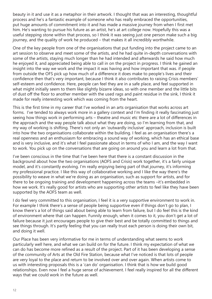beauty in it and use it as a metaphor in their artwork. I thought that was an interesting, thoughtful process and he's a fantastic example of someone who has really embraced the opportunities, put huge amounts of commitment into it and has made a massive journey from when I first met him. He's wanting to pursue his future as an artist, he's at art college now. Hopefully this was a useful stepping stone within that process, so I think it was seeing just one person make such a big journey, and the quality of work he produced – that makes it all incredibly worthwhile.

One of the key people from one of the organisations that put funding into the project came to an art session to observe and meet some of the artists, and he had quite in-depth conversations with some of the artists, staying much longer than he had intended and afterwards he said how much he enjoyed it, and appreciated being able to call in on the project in progress. I think he gained an insight into the way we work and the impact it was having and how important that was. if people from outside the OFS pick up how much of a difference it does make to people's lives and their confidence then that's very important, because I think it also contributes to raising Crisis members' self-esteem and confidence. Here, people can feel they are in a safe place, and feel supported in what might initially seem to them like slightly bizarre ideas, so with one member and the little bits of dust off the floor to another member with the used rags and paint residue in the sink, I think it made for really interesting work which was coming from the heart.

This is the first time in my career that I've worked in an arts organisation that works across art forms. I've tended to always work more in a gallery context and I'm finding it really fascinating just seeing how things work in performing arts – theatre and music etc there are a lot of differences in the approach and the way people talk about what they are doing, so I'm learning from that, and my way of working is shifting. There's not only an 'outwardly inclusive' approach, inclusion is built into how the two organisations collaborate within the building. I feel as an organisation there's a real openness and an enthusiasm for embracing a sound way of working, which has an ethical base and is very inclusive, and it's what I feel passionate about in terms of who I am, and the way I want to work. You pick up on the conversations that are going on around you and learn a lot from that.

I've been conscious in the time that I've been here that there is a constant discussion in the background about how the two organisations (AOFS and Crisis) work together, it's a fairly unique model, and it's constantly evolving. I'm really enjoying being part of that journey, it's informing my professional practice. I like this way of collaborative working and I like the way there's the possibility to weave in what we're doing as an organisation, such as support for artists, and for there to be ongoing training and development happening across the teams –it's embedded in how we work. It's really good for artists who are supporting other artists to feel like they have been supported by the AOFS team as well.

I do feel very committed to this organisation, I feel it is a very supportive environment to work in. For example I think there's a sense of people being supportive even if things don't go to plan, I know there's a lot of things said about being able to learn from failure, but I do feel this is the kind of environment where that can happen. Funnily enough, when it comes to it, you don't get a lot of failure because it just encourages people to give their best and be totally committed to things and see things through. It's partly feeling that you can really trust each person is doing their own bit, and doing it well.

Our Place has been very informative for me in terms of understanding what seems to work particularly well here, and what we can build on for the future. I think my expectation of what we can do has become more refined as a result of the project. Part of it has been developing a sense of the community of Arts at the Old Fire Station, because what I've noticed is that lots of people are very loyal to the place and return to be involved over and over again. When artists come to us with interesting proposals this is a 'can do' organisation. I think that is how we build good relationships. Even now I feel a huge sense of achievement. I feel really inspired for all the different ways that we could work in the future as well.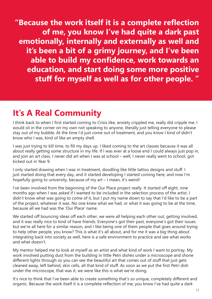**"Because the work itself it is a complete reflection of me, you know I've had quite a dark past emotionally, internally and externally as well and it's been a bit of a grimy journey, and I've been able to build my confidence, work towards an education, and start doing some more positive stuff for myself as well as for other people. "**

#### **It's A Real Community**

I think back to when I first started coming to Crisis like, anxiety crippled me, really did cripple me. I would sit in the corner on my own not speaking to anyone, literally just telling everyone to please stay out of my bubble. At the time I'd just come out of treatment, and you know I kind of didn't know who I was, kind of like an empty shell.

I was just trying to kill time, to fill my days up. I liked coming to the art classes because it was all about really getting some structure in my life. If I was ever at a loose end I could always just pop in, and join an art class. I never did art when I was at school – well, I never really went to school, got kicked out in Year 9.

I only started drawing when I was in treatment, doodling like little tattoo designs and stuff. I just started doing that every day, and it started developing I started coming here, and now I'm hopefully going to university, because of my art – I mean, it's weird!

I've been involved from the beginning of the Our Place project really. It started off eight, nine months ago when I was asked if I wanted to be included in the selection process of the artist. I didn't know what was going to come of it, but I put my name down to say that I'd like to be a part of the project, whatever it was. No one knew what we had, or what it was going to be at the time, because all we had was the 'Our Place' name.

We started off bouncing ideas off each other, we were all helping each other out, getting involved, and it was really nice to kind of have friends. Everyone's got their past, everyone's got their issues but we're all here for a similar reason, and I like being one of them people that goes around trying to help other people, you know? This is what it's all about, and for me it was a big thing about integrating back into society as well, here is a safe environment to practice and see what works and what doesn't.

My mentor helped me to look at myself as an artist and what kind of work I want to portray. My work involved putting dust from the building in little Petri dishes under a microscope and shone different lights through so you can see the beautiful art that comes out of stuff that just gets cleaned away, left behind, skin cells, all that kind of stuff. As soon as we put the first Petri dish under the microscope, that was it, we were like this is what we're doing.

It's nice to think that I've been able to create something that's so unique, completely different and organic. Because the work itself it is a complete reflection of me, you know I've had quite a dark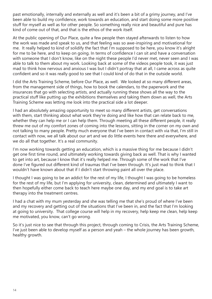past emotionally, internally and externally as well and it's been a bit of a grimy journey, and I've been able to build my confidence, work towards an education, and start doing some more positive stuff for myself as well as for other people. So something really nice and beautiful and pure has kind of come out of that, and that is the ethos of the work itself.

At the public opening of Our Place, quite a few people then stayed afterwards to listen to how the work was made and speak to us, and that feeling was so awe-inspiring and motivational for me. It really helped to kind of solidify the fact that I'm supposed to be here, you know it's alright for me to be here, and to keep on going. In terms of confidence I can sit and have a conversation with someone that I don't know, like on the night these people I'd never met, never seen and I was able to talk to them about my work. Looking back at some of the videos people took, it was just mad to think how nervous and anxious I was but I didn't portray that at all, I came across as quite confident and so it was really good to see that I could kind of do that in the outside world.

I did the Arts Training Scheme, before Our Place, as well. We looked at so many different areas, from the management side of things, how to book the calendars, to the paperwork and the insurances that go with selecting artists, and actually running these shows all the way to the practical stuff like putting up the exhibitions themselves and taking them down as well, the Arts Training Scheme was letting me look into the practical side a lot deeper.

I had an absolutely amazing opportunity to meet so many different artists, get conversations with them, start thinking about what work they're doing and like how that can relate back to me, whether they can help me or I can help them. Through meeting all these different people, it really threw me out of my comfort zones of coming into the lessons, sitting in the corner on my own and not talking to many people. Pretty much everyone that I've been in contact with via that, I'm still in contact with now, we all talk about our art and we do little events here there and everywhere, and we do all that together. It's a real community.

I'm now working towards getting an education, which is a massive thing for me because I didn't get one first time round, and ultimately working towards giving back as well. That is why I wanted to get into art, because I know that it's really helped me. Through some of the work that I've done I've figured out different kind of traumas that I've been through. It's just mad to think that I wouldn't have known about that if I didn't start throwing paint all over the place.

I thought I was going to be an addict for the rest of my life, I thought I was going to be homeless for the rest of my life, but I'm applying for university, clean, determined and ultimately I want to then hopefully either come back to teach here maybe one day, and my end goal is to take art therapy into the treatment centres.

I had a chat with my mum yesterday and she was telling me that she's proud of where I've been and my recovery and getting out of the situations that I've been in, and the fact that I'm looking at going to university. That college course will help in my recovery, help keep me clean, help keep me motivated, you know, can't go wrong.

So it's just nice to see that through this project, through coming to Crisis, the Arts Training Scheme, I've just been able to develop myself as a person and yeah – the whole journey has been growth, healthy growth.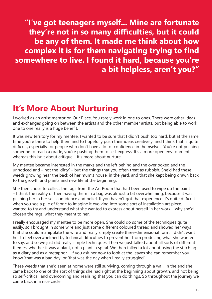**"I've got teenagers myself... Mine are fortunate they're not in so many difficulties, but it could be any of them. It made me think about how complex it is for them navigating trying to find somewhere to live. I found it hard, because you're a bit helpless, aren't you?"**

#### **It's More About Nurturing**

I worked as an artist mentor on Our Place. You rarely work in one to ones. There were other ideas and exchanges going on between the artists and the other member artists, but being able to work one to one really is a huge benefit.

It was new territory for my mentee. I wanted to be sure that I didn't push too hard, but at the same time you're there to help them and to hopefully push their ideas creatively, and I think that is quite difficult, especially for people who don't have a lot of confidence in themselves. You're not pushing someone to reach a grade, you're pushing them to self-express. It's a more open environment, whereas this isn't about critique – it's more about nurture.

My mentee became interested in the marks and the left behind and the overlooked and the unnoticed and – not the 'dirty' – but the things that you often treat as rubbish. She'd had these weeds growing near the back of her mum's house, in the yard, and that she kept being drawn back to the growth and plants and new life at the beginning.

She then chose to collect the rags from the Art Room that had been used to wipe up the paint – I think the reality of then having them in a bag was almost a bit overwhelming, because it was pushing her in her self-confidence and belief. If you haven't got that experience it's quite difficult when you see a pile of fabric to imagine it evolving into some sort of installation art piece. I wanted to try and understand what she wanted to express about herself in her work – why she'd chosen the rags, what they meant to her.

I really encouraged my mentee to be more open. She could do some of the techniques quite easily, so I brought in some wire and just some different coloured thread and showed her ways that she could manipulate the wire and really simply create three-dimensional form. I didn't want her to feel overwhelmed by technical difficulties to prevent her from producing what she wanted to say, and so we just did really simple techniques. Then we just talked about all sorts of different themes, whether it was a plant, not a plant, a spiral. We then talked a lot about using the stitching as a diary and as a metaphor – if you ask her now to look at the leaves she can remember you know 'that was a bad day' or 'that was the day when I really struggled'.

These weeds that she'd seen at home were still surviving, coming through a wall. In the end she came back to one of the sort of things she had right at the beginning about growth, and not being so self-critical, and overcoming and realising that you can do things. So throughout the journey we came back in a nice circle.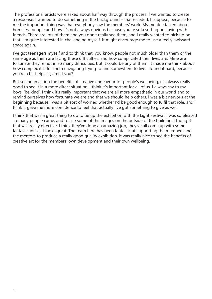The professional artists were asked about half way through the process if we wanted to create a response. I wanted to do something in the background – that receded, I suppose, because to me the important thing was that everybody saw the members' work. My mentee talked about homeless people and how it's not always obvious because you're sofa surfing or staying with friends. There are lots of them and you don't really see them, and I really wanted to pick up on that. I'm quite interested in challenging myself. It might encourage me to use a really awkward space again.

I've got teenagers myself and to think that, you know, people not much older than them or the same age as them are facing these difficulties, and how complicated their lives are. Mine are fortunate they're not in so many difficulties, but it could be any of them. It made me think about how complex it is for them navigating trying to find somewhere to live. I found it hard, because you're a bit helpless, aren't you?

But seeing in action the benefits of creative endeavour for people's wellbeing, it's always really good to see it in a more direct situation. I think it's important for all of us. I always say to my boys, 'be kind'. I think it's really important that we are all more empathetic in our world and to remind ourselves how fortunate we are and that we should help others. I was a bit nervous at the beginning because I was a bit sort of worried whether I'd be good enough to fulfil that role, and I think it gave me more confidence to feel that actually I've got something to give as well.

I think that was a great thing to do to tie up the exhibition with the Light Festival. I was so pleased so many people came, and to see some of the images on the outside of the building. I thought that was really effective. I think they've done an amazing job, they've all come up with some fantastic ideas, it looks great. The team here has been fantastic at supporting the members and the mentors to produce a really good quality exhibition. It was really nice to see the benefits of creative art for the members' own development and their own wellbeing.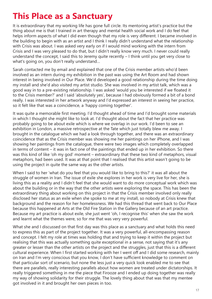### **This Place as a Sanctuary**

It is extraordinary that my working life has gone full circle. Its mentoring artist's practice but the thing about me is that I trained in art therapy and mental health social work and I do feel that helps inform aspects of what I did even though that my role is very different. I became involved in the building to begin with as an artist and I think I really didn't understand what the relationship with Crisis was about. I was asked very early on if I would mind working with the intern from Crisis and I was very pleased to do that, but I didn't really know very much. I never could really understand the concept, I said this to Jeremy quite recently – I think until you get very close to what's going on, you don't really understand…

Sarah contacted me by email and explained that one of the Crisis member artists who'd been involved as an intern during my exhibition in the past was using the Art Room and had shown interest in being involved in Our Place. We'd developed a good relationship during the time doing my install and she'd also visited my artist studio. She was involved in my artist talk, which was a good way in to a pre-existing relationship. I was asked 'would you be interested if we floated it to the Crisis member?' and I said 'absolutely yes', because I had obviously formed a bit of a bond really. I was interested in her artwork anyway and I'd expressed an interest in seeing her practice, so it felt like that was a coincidence, a 'happy coming together'.

It was quite a memorable first meeting. I'd thought ahead of time and I'd brought some materials in which I thought she might like to look at. I'd thought about the fact that her practice was probably going to be about exile which is where we overlap in our work. I'd been to see an exhibition in London, a massive retrospective at the Tate which just totally blew me away. I brought in the catalogue which we had a look through together, and there was an extraordinary coincidence that as the Crisis member was showing me her paintings on her iPhone, and I was showing her paintings from the catalogue, there were two images which completely overlapped in terms of content – it was in fact one of the paintings that ended up in her exhibition. So there was this kind of like 'oh my god' moment – extraordinary that these two kind of metaphors, visual metaphors, had been used. It was at that point that I realised that this artist wasn't going to be using the project in quite the same way as the other artists.

When I said to her 'what do you feel that you would like to bring to this?' it was all about the struggle of women in Iran. The issue of exile she explores in her work is very live for her, she is living this as a reality and I didn't feel that she would want to do more conceptual work which was about the building or in the way that the other artists were exploring the space. This has been the extraordinary thing about working on this project in that the Crisis member involved only really disclosed her status as an exile when she spoke to me at my install, so nobody at Crisis knew that background and the reason for her homelessness. We had this thread that went back to Our Place because this happened at Arts at the Old Fire Station in the Gallery because of an art practice. Because my art practice is about exile, she just went 'oh, I recognise this' when she saw the work and learnt what the themes were, so for me that was very very powerful.

What she and I discussed on that first day was this place as a sanctuary and what holds this need to express this as part of the project together. It was a very powerful, all-encompassing reason and concept. I felt my role at times was holding that and trying to keep it within the project but realising that this was actually something quite exceptional in a sense, not saying that it's any greater or lesser than the other artists on the project and the struggles, just that this is a different cultural experience. When I first started working with her I went off and I did some research, mainly on Iran and I'm very conscious that you know, I don't have sufficient knowledge to comment on that particular sort of scenario, but none the less just a very quick look enabled me to see that there are parallels, really interesting parallels about how women are treated under dictatorships. It really triggered something in me the piece that Firooze and I ended up doing together was really my way of showing solidarity for their struggle. The lovely thing about that was that my mentee got involved in it and brought her own pieces in too.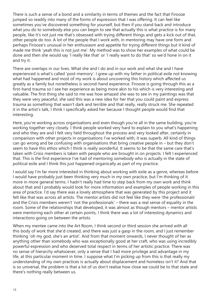There is such a sense of a bond and a similarity in terms of themes and the fact that Firooze jumped so readily into many of the forms of expression that I was offering. It can feel like sometimes you've discovered something for yourself, but then if you stand back and introduce what you do to somebody else you can begin to see that actually this is what practice is for many people, like it's not just me that's obsessed with trying different things and gets a kick out of that, other people do too. A lot of the people that I work with, in mentoring may have one form and perhaps Firooze's unusual in her enthusiasm and appetite for trying different things but it kind of made me think 'yeah this is not just me'. My method was to show her examples of what could be done and then she would say 'I really like that' or 'I really want to do that' so we'd hone in on it and try it.

There are overlaps in our lives. What she and I do and in our work and what she and I have experienced is what's called 'post-memory'. I grew up with my father in political exile not knowing what had happened and most of my work is about uncovering this history which affected us greatly as a family but nonetheless is second-hand experience. Firooze is going through this as a first-hand trauma so I see her experience as being more akin to his which is very interesting and valuable. The first thing she said to me was how amazed she was to see in my paintings was that they were very peaceful, she said this was a new idea for her that you could paint and express trauma as something that wasn't dark and terrible and that really, really struck me. She repeated it in the artist's talk, I think I specifically asked her because I thought people would find that interesting.

Here, you're working across organisations and even though you're all in the same building, you're working together very closely. I think people worked very hard to explain to you what's happening and who they are and I felt very held throughout the process and very looked after, certainly in comparison with other projects in organisations I've worked with, it was superb. All kind of things can go wrong and be confusing with organisations that bring creative people in – but they don't seem to have this ethos which I think is really wonderful. It seems to be that the same care that's taken with Crisis members is taken with people who are brought in on projects. I felt I experienced that. This is the first experience I've had of mentoring somebody who is actually in the state of political exile and I think this just happened organically as part of my practice.

I would say I'm far more interested in thinking about working with exile as a genre, whereas before I would have probably just been thinking very much in my own practice, but I'm thinking of it more in more general terms. I hadn't really had time to step back from my own work and think about that and I probably would look for more information and examples of people working in this area of practice. I'd say there was a lovely atmosphere that was generated by this project and it felt like that was across all artists. The mentor artists did not feel like they were 'the professionals' and the Crisis members weren't 'not the professionals' – there was a real sense of equality in the room. Some of the relationships that developed, it was almost as though mentors – mentor artists were mentoring each other at certain points, I think there was a lot of interesting dynamics and interactions going on between the artists.

When my mentee came into the Art Room, I think second or third session she arrived with all this body of work that she'd created, and there was just a gasp in the room, and I just remember thinking 'oh my god, she's an artist'. And from that moment onwards, I never thought of her as anything other than somebody who was exceptionally good at her craft, who was using incredibly powerful expression and who deserved total respect in terms of her artistic practice. There was no sense of hierarchy whatsoever, only a sense that I had more privilege and advantage in my life, at this particular moment in time. I suppose what I'm picking up from this is that really my understanding of my own practices is actually about displacement and homeless isn't it? And that is so universal, the problem is that a lot of us don't realise how close we could be to that state and there's nothing really between us.